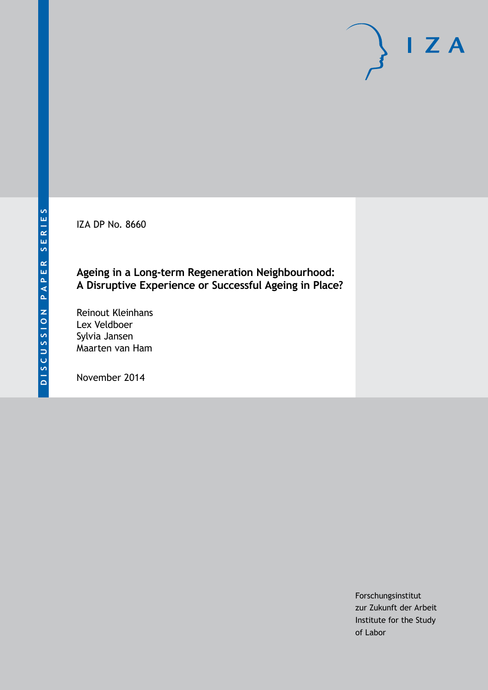IZA DP No. 8660

## **Ageing in a Long-term Regeneration Neighbourhood: A Disruptive Experience or Successful Ageing in Place?**

Reinout Kleinhans Lex Veldboer Sylvia Jansen Maarten van Ham

November 2014

Forschungsinstitut zur Zukunft der Arbeit Institute for the Study of Labor

 $I Z A$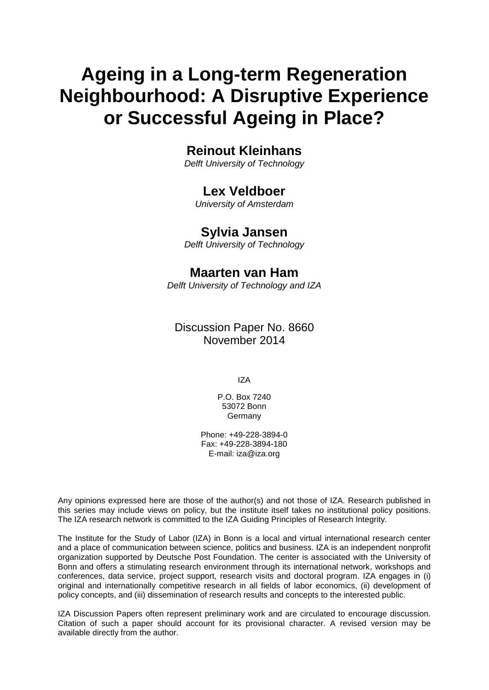# **Ageing in a Long-term Regeneration Neighbourhood: A Disruptive Experience or Successful Ageing in Place?**

# **Reinout Kleinhans**

*Delft University of Technology*

## **Lex Veldboer**

*University of Amsterdam*

## **Sylvia Jansen**

*Delft University of Technology*

## **Maarten van Ham**

*Delft University of Technology and IZA*

## Discussion Paper No. 8660 November 2014

IZA

P.O. Box 7240 53072 Bonn Germany

Phone: +49-228-3894-0 Fax: +49-228-3894-180 E-mail: [iza@iza.org](mailto:iza@iza.org)

Any opinions expressed here are those of the author(s) and not those of IZA. Research published in this series may include views on policy, but the institute itself takes no institutional policy positions. The IZA research network is committed to the IZA Guiding Principles of Research Integrity.

The Institute for the Study of Labor (IZA) in Bonn is a local and virtual international research center and a place of communication between science, politics and business. IZA is an independent nonprofit organization supported by Deutsche Post Foundation. The center is associated with the University of Bonn and offers a stimulating research environment through its international network, workshops and conferences, data service, project support, research visits and doctoral program. IZA engages in (i) original and internationally competitive research in all fields of labor economics, (ii) development of policy concepts, and (iii) dissemination of research results and concepts to the interested public.

IZA Discussion Papers often represent preliminary work and are circulated to encourage discussion. Citation of such a paper should account for its provisional character. A revised version may be available directly from the author.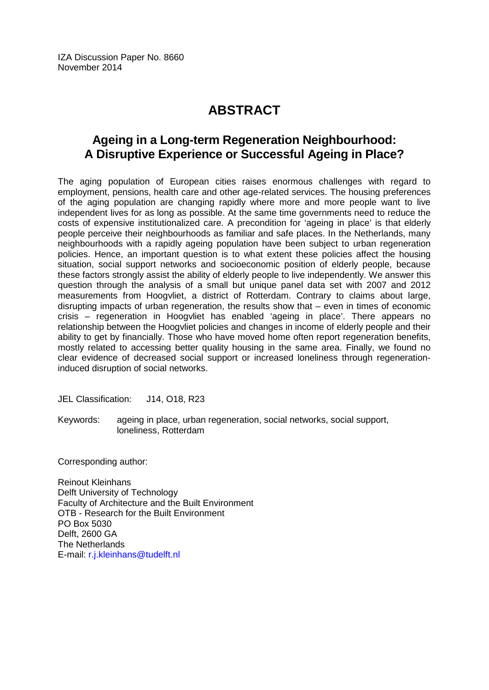IZA Discussion Paper No. 8660 November 2014

# **ABSTRACT**

# **Ageing in a Long-term Regeneration Neighbourhood: A Disruptive Experience or Successful Ageing in Place?**

The aging population of European cities raises enormous challenges with regard to employment, pensions, health care and other age-related services. The housing preferences of the aging population are changing rapidly where more and more people want to live independent lives for as long as possible. At the same time governments need to reduce the costs of expensive institutionalized care. A precondition for 'ageing in place' is that elderly people perceive their neighbourhoods as familiar and safe places. In the Netherlands, many neighbourhoods with a rapidly ageing population have been subject to urban regeneration policies. Hence, an important question is to what extent these policies affect the housing situation, social support networks and socioeconomic position of elderly people, because these factors strongly assist the ability of elderly people to live independently. We answer this question through the analysis of a small but unique panel data set with 2007 and 2012 measurements from Hoogvliet, a district of Rotterdam. Contrary to claims about large, disrupting impacts of urban regeneration, the results show that – even in times of economic crisis – regeneration in Hoogvliet has enabled 'ageing in place'. There appears no relationship between the Hoogvliet policies and changes in income of elderly people and their ability to get by financially. Those who have moved home often report regeneration benefits, mostly related to accessing better quality housing in the same area. Finally, we found no clear evidence of decreased social support or increased loneliness through regenerationinduced disruption of social networks.

JEL Classification: J14, O18, R23

Keywords: ageing in place, urban regeneration, social networks, social support, loneliness, Rotterdam

Corresponding author:

Reinout Kleinhans Delft University of Technology Faculty of Architecture and the Built Environment OTB - Research for the Built Environment PO Box 5030 Delft, 2600 GA The Netherlands E-mail: [r.j.kleinhans@tudelft.nl](mailto:r.j.kleinhans@tudelft.nl)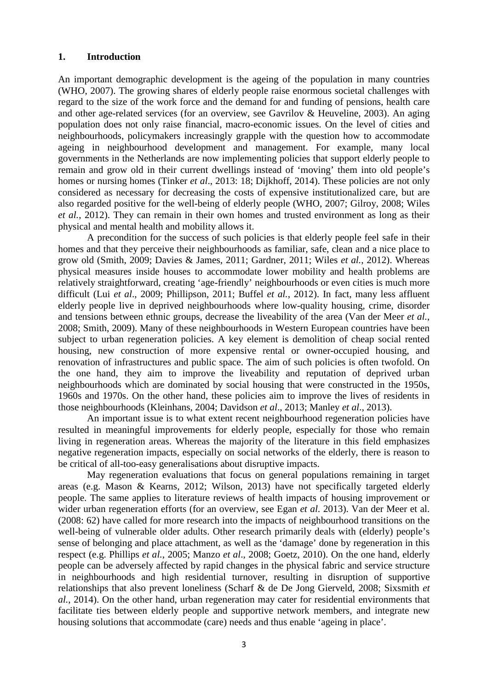#### **1. Introduction**

An important demographic development is the ageing of the population in many countries (WHO, 2007). The growing shares of elderly people raise enormous societal challenges with regard to the size of the work force and the demand for and funding of pensions, health care and other age-related services (for an overview, see Gavrilov & Heuveline, 2003). An aging population does not only raise financial, macro-economic issues. On the level of cities and neighbourhoods, policymakers increasingly grapple with the question how to accommodate ageing in neighbourhood development and management. For example, many local governments in the Netherlands are now implementing policies that support elderly people to remain and grow old in their current dwellings instead of 'moving' them into old people's homes or nursing homes (Tinker *et al*., 2013: 18; Dijkhoff, 2014). These policies are not only considered as necessary for decreasing the costs of expensive institutionalized care, but are also regarded positive for the well-being of elderly people (WHO, 2007; Gilroy, 2008; Wiles *et al.*, 2012). They can remain in their own homes and trusted environment as long as their physical and mental health and mobility allows it.

A precondition for the success of such policies is that elderly people feel safe in their homes and that they perceive their neighbourhoods as familiar, safe, clean and a nice place to grow old (Smith, 2009; Davies & James, 2011; Gardner, 2011; Wiles *et al.*, 2012). Whereas physical measures inside houses to accommodate lower mobility and health problems are relatively straightforward, creating 'age-friendly' neighbourhoods or even cities is much more difficult (Lui *et al*., 2009; Phillipson, 2011; Buffel *et al.*, 2012). In fact, many less affluent elderly people live in deprived neighbourhoods where low-quality housing, crime, disorder and tensions between ethnic groups, decrease the liveability of the area (Van der Meer *et al.*, 2008; Smith, 2009). Many of these neighbourhoods in Western European countries have been subject to urban regeneration policies. A key element is demolition of cheap social rented housing, new construction of more expensive rental or owner-occupied housing, and renovation of infrastructures and public space. The aim of such policies is often twofold. On the one hand, they aim to improve the liveability and reputation of deprived urban neighbourhoods which are dominated by social housing that were constructed in the 1950s, 1960s and 1970s. On the other hand, these policies aim to improve the lives of residents in those neighbourhoods (Kleinhans, 2004; Davidson *et al*., 2013; Manley *et al*., 2013).

An important issue is to what extent recent neighbourhood regeneration policies have resulted in meaningful improvements for elderly people, especially for those who remain living in regeneration areas. Whereas the majority of the literature in this field emphasizes negative regeneration impacts, especially on social networks of the elderly, there is reason to be critical of all-too-easy generalisations about disruptive impacts.

May regeneration evaluations that focus on general populations remaining in target areas (e.g. Mason & Kearns, 2012; Wilson, 2013) have not specifically targeted elderly people. The same applies to literature reviews of health impacts of housing improvement or wider urban regeneration efforts (for an overview, see Egan *et al*. 2013). Van der Meer et al. (2008: 62) have called for more research into the impacts of neighbourhood transitions on the well-being of vulnerable older adults. Other research primarily deals with (elderly) people's sense of belonging and place attachment, as well as the 'damage' done by regeneration in this respect (e.g. Phillips *et al.*, 2005; Manzo *et al*., 2008; Goetz, 2010). On the one hand, elderly people can be adversely affected by rapid changes in the physical fabric and service structure in neighbourhoods and high residential turnover, resulting in disruption of supportive relationships that also prevent loneliness (Scharf & de De Jong Gierveld, 2008; Sixsmith *et al.*, 2014). On the other hand, urban regeneration may cater for residential environments that facilitate ties between elderly people and supportive network members, and integrate new housing solutions that accommodate (care) needs and thus enable 'ageing in place'.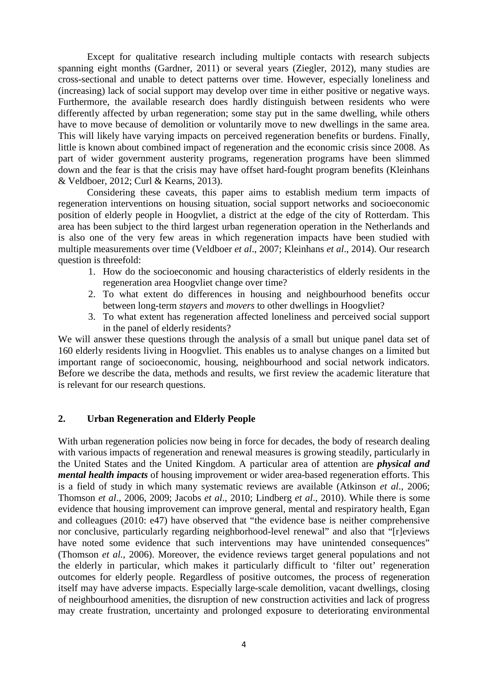Except for qualitative research including multiple contacts with research subjects spanning eight months (Gardner, 2011) or several years (Ziegler, 2012), many studies are cross-sectional and unable to detect patterns over time. However, especially loneliness and (increasing) lack of social support may develop over time in either positive or negative ways. Furthermore, the available research does hardly distinguish between residents who were differently affected by urban regeneration; some stay put in the same dwelling, while others have to move because of demolition or voluntarily move to new dwellings in the same area. This will likely have varying impacts on perceived regeneration benefits or burdens. Finally, little is known about combined impact of regeneration and the economic crisis since 2008. As part of wider government austerity programs, regeneration programs have been slimmed down and the fear is that the crisis may have offset hard-fought program benefits (Kleinhans & Veldboer, 2012; Curl & Kearns, 2013).

Considering these caveats, this paper aims to establish medium term impacts of regeneration interventions on housing situation, social support networks and socioeconomic position of elderly people in Hoogvliet, a district at the edge of the city of Rotterdam. This area has been subject to the third largest urban regeneration operation in the Netherlands and is also one of the very few areas in which regeneration impacts have been studied with multiple measurements over time (Veldboer *et al*., 2007; Kleinhans *et al*., 2014). Our research question is threefold:

- 1. How do the socioeconomic and housing characteristics of elderly residents in the regeneration area Hoogvliet change over time?
- 2. To what extent do differences in housing and neighbourhood benefits occur between long-term *stayers* and *movers* to other dwellings in Hoogvliet?
- 3. To what extent has regeneration affected loneliness and perceived social support in the panel of elderly residents?

We will answer these questions through the analysis of a small but unique panel data set of 160 elderly residents living in Hoogvliet. This enables us to analyse changes on a limited but important range of socioeconomic, housing, neighbourhood and social network indicators. Before we describe the data, methods and results, we first review the academic literature that is relevant for our research questions.

#### **2. Urban Regeneration and Elderly People**

With urban regeneration policies now being in force for decades, the body of research dealing with various impacts of regeneration and renewal measures is growing steadily, particularly in the United States and the United Kingdom. A particular area of attention are *physical and mental health impacts* of housing improvement or wider area-based regeneration efforts. This is a field of study in which many systematic reviews are available (Atkinson *et al*., 2006; Thomson *et al*., 2006, 2009; Jacobs *et al*., 2010; Lindberg *et al*., 2010). While there is some evidence that housing improvement can improve general, mental and respiratory health, Egan and colleagues (2010: e47) have observed that "the evidence base is neither comprehensive nor conclusive, particularly regarding neighborhood-level renewal" and also that "[r]eviews have noted some evidence that such interventions may have unintended consequences" (Thomson *et al.*, 2006). Moreover, the evidence reviews target general populations and not the elderly in particular, which makes it particularly difficult to 'filter out' regeneration outcomes for elderly people. Regardless of positive outcomes, the process of regeneration itself may have adverse impacts. Especially large-scale demolition, vacant dwellings, closing of neighbourhood amenities, the disruption of new construction activities and lack of progress may create frustration, uncertainty and prolonged exposure to deteriorating environmental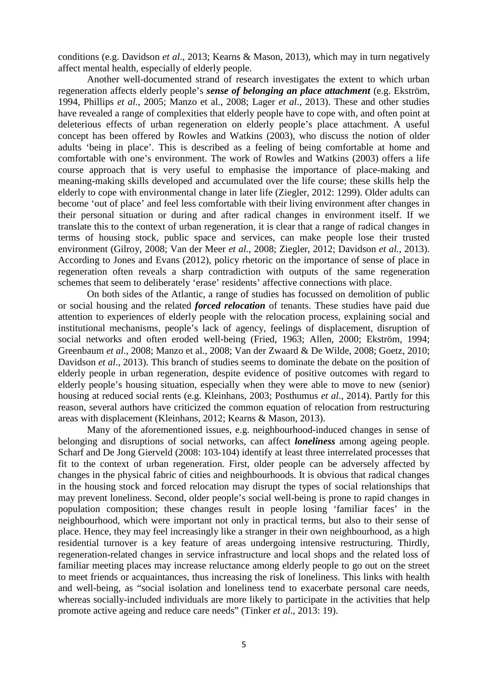conditions (e.g. Davidson *et al*., 2013; Kearns & Mason, 2013), which may in turn negatively affect mental health, especially of elderly people.

Another well-documented strand of research investigates the extent to which urban regeneration affects elderly people's *sense of belonging an place attachment* (e.g. Ekström, 1994, Phillips *et al.*, 2005; Manzo et al., 2008; Lager *et al*., 2013). These and other studies have revealed a range of complexities that elderly people have to cope with, and often point at deleterious effects of urban regeneration on elderly people's place attachment. A useful concept has been offered by Rowles and Watkins (2003), who discuss the notion of older adults 'being in place'. This is described as a feeling of being comfortable at home and comfortable with one's environment. The work of Rowles and Watkins (2003) offers a life course approach that is very useful to emphasise the importance of place-making and meaning-making skills developed and accumulated over the life course; these skills help the elderly to cope with environmental change in later life (Ziegler, 2012: 1299). Older adults can become 'out of place' and feel less comfortable with their living environment after changes in their personal situation or during and after radical changes in environment itself. If we translate this to the context of urban regeneration, it is clear that a range of radical changes in terms of housing stock, public space and services, can make people lose their trusted environment (Gilroy, 2008; Van der Meer *et al.*, 2008; Ziegler, 2012; Davidson *et al.*, 2013). According to Jones and Evans (2012), policy rhetoric on the importance of sense of place in regeneration often reveals a sharp contradiction with outputs of the same regeneration schemes that seem to deliberately 'erase' residents' affective connections with place.

On both sides of the Atlantic, a range of studies has focussed on demolition of public or social housing and the related *forced relocation* of tenants. These studies have paid due attention to experiences of elderly people with the relocation process, explaining social and institutional mechanisms, people's lack of agency, feelings of displacement, disruption of social networks and often eroded well-being (Fried, 1963; Allen, 2000; Ekström, 1994; Greenbaum *et al*., 2008; Manzo et al., 2008; Van der Zwaard & De Wilde, 2008; Goetz, 2010; Davidson *et al*., 2013). This branch of studies seems to dominate the debate on the position of elderly people in urban regeneration, despite evidence of positive outcomes with regard to elderly people's housing situation, especially when they were able to move to new (senior) housing at reduced social rents (e.g. Kleinhans, 2003; Posthumus *et al*., 2014). Partly for this reason, several authors have criticized the common equation of relocation from restructuring areas with displacement (Kleinhans, 2012; Kearns & Mason, 2013).

Many of the aforementioned issues, e.g. neighbourhood-induced changes in sense of belonging and disruptions of social networks, can affect *loneliness* among ageing people. Scharf and De Jong Gierveld (2008: 103-104) identify at least three interrelated processes that fit to the context of urban regeneration. First, older people can be adversely affected by changes in the physical fabric of cities and neighbourhoods. It is obvious that radical changes in the housing stock and forced relocation may disrupt the types of social relationships that may prevent loneliness. Second, older people's social well-being is prone to rapid changes in population composition; these changes result in people losing 'familiar faces' in the neighbourhood, which were important not only in practical terms, but also to their sense of place. Hence, they may feel increasingly like a stranger in their own neighbourhood, as a high residential turnover is a key feature of areas undergoing intensive restructuring. Thirdly, regeneration-related changes in service infrastructure and local shops and the related loss of familiar meeting places may increase reluctance among elderly people to go out on the street to meet friends or acquaintances, thus increasing the risk of loneliness. This links with health and well-being, as "social isolation and loneliness tend to exacerbate personal care needs, whereas socially-included individuals are more likely to participate in the activities that help promote active ageing and reduce care needs" (Tinker *et al*., 2013: 19).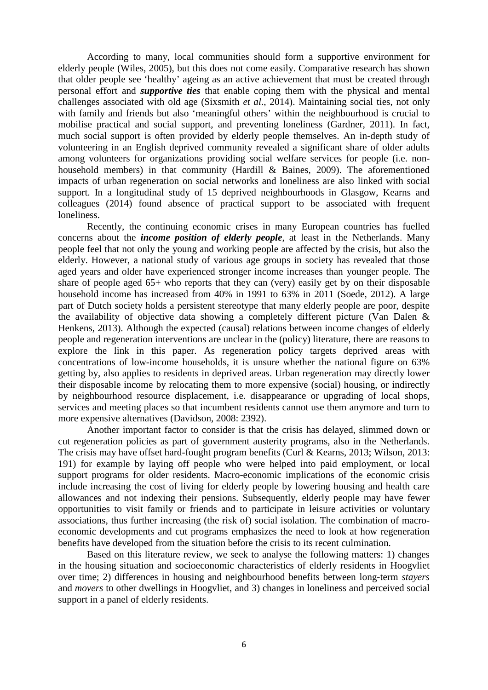According to many, local communities should form a supportive environment for elderly people (Wiles, 2005), but this does not come easily. Comparative research has shown that older people see 'healthy' ageing as an active achievement that must be created through personal effort and *supportive ties* that enable coping them with the physical and mental challenges associated with old age (Sixsmith *et al*., 2014). Maintaining social ties, not only with family and friends but also 'meaningful others' within the neighbourhood is crucial to mobilise practical and social support, and preventing loneliness (Gardner, 2011). In fact, much social support is often provided by elderly people themselves. An in-depth study of volunteering in an English deprived community revealed a significant share of older adults among volunteers for organizations providing social welfare services for people (i.e. nonhousehold members) in that community (Hardill & Baines, 2009). The aforementioned impacts of urban regeneration on social networks and loneliness are also linked with social support. In a longitudinal study of 15 deprived neighbourhoods in Glasgow, Kearns and colleagues (2014) found absence of practical support to be associated with frequent loneliness.

Recently, the continuing economic crises in many European countries has fuelled concerns about the *income position of elderly people*, at least in the Netherlands. Many people feel that not only the young and working people are affected by the crisis, but also the elderly. However, a national study of various age groups in society has revealed that those aged years and older have experienced stronger income increases than younger people. The share of people aged 65+ who reports that they can (very) easily get by on their disposable household income has increased from 40% in 1991 to 63% in 2011 (Soede, 2012). A large part of Dutch society holds a persistent stereotype that many elderly people are poor, despite the availability of objective data showing a completely different picture (Van Dalen & Henkens, 2013). Although the expected (causal) relations between income changes of elderly people and regeneration interventions are unclear in the (policy) literature, there are reasons to explore the link in this paper. As regeneration policy targets deprived areas with concentrations of low-income households, it is unsure whether the national figure on 63% getting by, also applies to residents in deprived areas. Urban regeneration may directly lower their disposable income by relocating them to more expensive (social) housing, or indirectly by neighbourhood resource displacement, i.e. disappearance or upgrading of local shops, services and meeting places so that incumbent residents cannot use them anymore and turn to more expensive alternatives (Davidson, 2008: 2392).

Another important factor to consider is that the crisis has delayed, slimmed down or cut regeneration policies as part of government austerity programs, also in the Netherlands. The crisis may have offset hard-fought program benefits (Curl & Kearns, 2013; Wilson, 2013: 191) for example by laying off people who were helped into paid employment, or local support programs for older residents. Macro-economic implications of the economic crisis include increasing the cost of living for elderly people by lowering housing and health care allowances and not indexing their pensions. Subsequently, elderly people may have fewer opportunities to visit family or friends and to participate in leisure activities or voluntary associations, thus further increasing (the risk of) social isolation. The combination of macroeconomic developments and cut programs emphasizes the need to look at how regeneration benefits have developed from the situation before the crisis to its recent culmination.

Based on this literature review, we seek to analyse the following matters: 1) changes in the housing situation and socioeconomic characteristics of elderly residents in Hoogvliet over time; 2) differences in housing and neighbourhood benefits between long-term *stayers* and *movers* to other dwellings in Hoogvliet, and 3) changes in loneliness and perceived social support in a panel of elderly residents.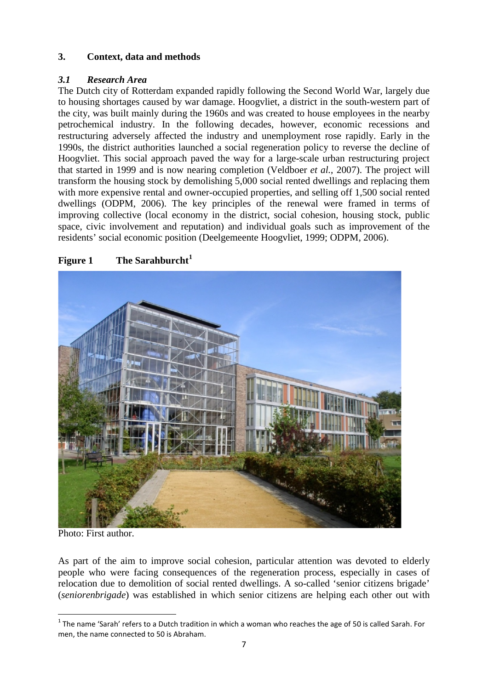## **3. Context, data and methods**

## *3.1 Research Area*

The Dutch city of Rotterdam expanded rapidly following the Second World War, largely due to housing shortages caused by war damage. Hoogvliet, a district in the south-western part of the city, was built mainly during the 1960s and was created to house employees in the nearby petrochemical industry. In the following decades, however, economic recessions and restructuring adversely affected the industry and unemployment rose rapidly. Early in the 1990s, the district authorities launched a social regeneration policy to reverse the decline of Hoogvliet. This social approach paved the way for a large-scale urban restructuring project that started in 1999 and is now nearing completion (Veldboer *et al.*, 2007). The project will transform the housing stock by demolishing 5,000 social rented dwellings and replacing them with more expensive rental and owner-occupied properties, and selling off 1,500 social rented dwellings (ODPM, 2006). The key principles of the renewal were framed in terms of improving collective (local economy in the district, social cohesion, housing stock, public space, civic involvement and reputation) and individual goals such as improvement of the residents' social economic position (Deelgemeente Hoogvliet, 1999; ODPM, 2006).



## **Figure 1 The Sarahburcht<sup>1</sup>**

Photo: First author.

<span id="page-7-0"></span>As part of the aim to improve social cohesion, particular attention was devoted to elderly people who were facing consequences of the regeneration process, especially in cases of relocation due to demolition of social rented dwellings. A so-called 'senior citizens brigade' (*seniorenbrigade*) was established in which senior citizens are helping each other out with

 $1$  The name 'Sarah' refers to a Dutch tradition in which a woman who reaches the age of 50 is called Sarah. For men, the name connected to 50 is Abraham.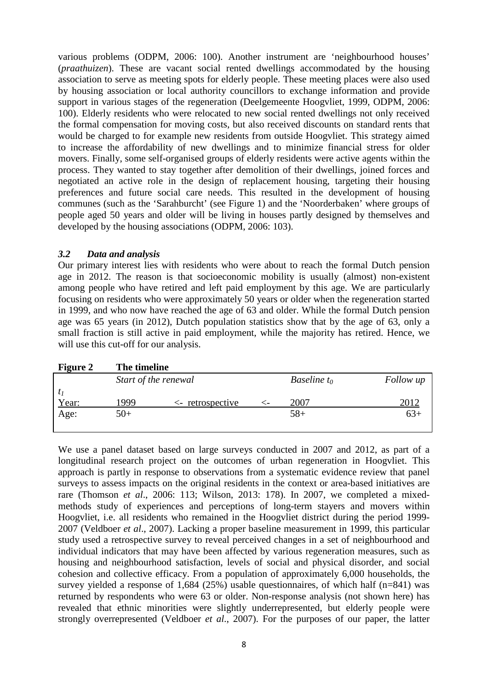various problems (ODPM, 2006: 100). Another instrument are 'neighbourhood houses' (*praathuizen*). These are vacant social rented dwellings accommodated by the housing association to serve as meeting spots for elderly people. These meeting places were also used by housing association or local authority councillors to exchange information and provide support in various stages of the regeneration (Deelgemeente Hoogvliet, 1999, ODPM, 2006: 100). Elderly residents who were relocated to new social rented dwellings not only received the formal compensation for moving costs, but also received discounts on standard rents that would be charged to for example new residents from outside Hoogvliet. This strategy aimed to increase the affordability of new dwellings and to minimize financial stress for older movers. Finally, some self-organised groups of elderly residents were active agents within the process. They wanted to stay together after demolition of their dwellings, joined forces and negotiated an active role in the design of replacement housing, targeting their housing preferences and future social care needs. This resulted in the development of housing communes (such as the 'Sarahburcht' (see Figure 1) and the 'Noorderbaken' where groups of people aged 50 years and older will be living in houses partly designed by themselves and developed by the housing associations (ODPM, 2006: 103).

#### *3.2 Data and analysis*

Our primary interest lies with residents who were about to reach the formal Dutch pension age in 2012. The reason is that socioeconomic mobility is usually (almost) non-existent among people who have retired and left paid employment by this age. We are particularly focusing on residents who were approximately 50 years or older when the regeneration started in 1999, and who now have reached the age of 63 and older. While the formal Dutch pension age was 65 years (in 2012), Dutch population statistics show that by the age of 63, only a small fraction is still active in paid employment, while the majority has retired. Hence, we will use this cut-off for our analysis.

| <b>Figure 2</b> | The timeline |                      |   |                       |           |
|-----------------|--------------|----------------------|---|-----------------------|-----------|
|                 |              | Start of the renewal |   | <i>Baseline</i> $t_0$ | Follow up |
| $t_1$           |              |                      |   |                       |           |
| Year:           | 1999         | $\leq$ retrospective | ← | 2007                  | 2012      |
| Age:            | $50+$        |                      |   | $58+$                 | $63+$     |
|                 |              |                      |   |                       |           |

We use a panel dataset based on large surveys conducted in 2007 and 2012, as part of a longitudinal research project on the outcomes of urban regeneration in Hoogvliet. This approach is partly in response to observations from a systematic evidence review that panel surveys to assess impacts on the original residents in the context or area-based initiatives are rare (Thomson *et al*., 2006: 113; Wilson, 2013: 178). In 2007, we completed a mixedmethods study of experiences and perceptions of long-term stayers and movers within Hoogvliet, i.e. all residents who remained in the Hoogvliet district during the period 1999- 2007 (Veldboer *et al*., 2007). Lacking a proper baseline measurement in 1999, this particular study used a retrospective survey to reveal perceived changes in a set of neighbourhood and individual indicators that may have been affected by various regeneration measures, such as housing and neighbourhood satisfaction, levels of social and physical disorder, and social cohesion and collective efficacy. From a population of approximately 6,000 households, the survey yielded a response of 1,684 (25%) usable questionnaires, of which half  $(n=841)$  was returned by respondents who were 63 or older. Non-response analysis (not shown here) has revealed that ethnic minorities were slightly underrepresented, but elderly people were strongly overrepresented (Veldboer *et al*., 2007). For the purposes of our paper, the latter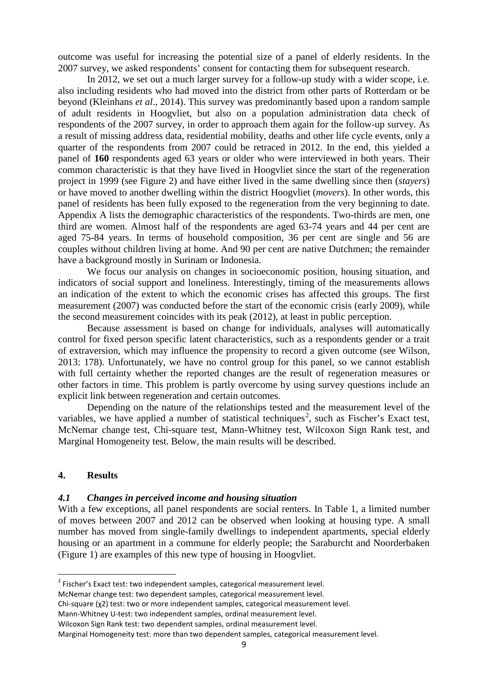outcome was useful for increasing the potential size of a panel of elderly residents. In the 2007 survey, we asked respondents' consent for contacting them for subsequent research.

In 2012, we set out a much larger survey for a follow-up study with a wider scope, i.e. also including residents who had moved into the district from other parts of Rotterdam or be beyond (Kleinhans *et al*., 2014). This survey was predominantly based upon a random sample of adult residents in Hoogvliet, but also on a population administration data check of respondents of the 2007 survey, in order to approach them again for the follow-up survey. As a result of missing address data, residential mobility, deaths and other life cycle events, only a quarter of the respondents from 2007 could be retraced in 2012. In the end, this yielded a panel of **160** respondents aged 63 years or older who were interviewed in both years. Their common characteristic is that they have lived in Hoogvliet since the start of the regeneration project in 1999 (see Figure 2) and have either lived in the same dwelling since then (*stayers*) or have moved to another dwelling within the district Hoogvliet (*movers*). In other words, this panel of residents has been fully exposed to the regeneration from the very beginning to date. Appendix A lists the demographic characteristics of the respondents. Two-thirds are men, one third are women. Almost half of the respondents are aged 63-74 years and 44 per cent are aged 75-84 years. In terms of household composition, 36 per cent are single and 56 are couples without children living at home. And 90 per cent are native Dutchmen; the remainder have a background mostly in Surinam or Indonesia.

We focus our analysis on changes in socioeconomic position, housing situation, and indicators of social support and loneliness. Interestingly, timing of the measurements allows an indication of the extent to which the economic crises has affected this groups. The first measurement (2007) was conducted before the start of the economic crisis (early 2009), while the second measurement coincides with its peak (2012), at least in public perception.

Because assessment is based on change for individuals, analyses will automatically control for fixed person specific latent characteristics, such as a respondents gender or a trait of extraversion, which may influence the propensity to record a given outcome (see Wilson, 2013: 178). Unfortunately, we have no control group for this panel, so we cannot establish with full certainty whether the reported changes are the result of regeneration measures or other factors in time. This problem is partly overcome by using survey questions include an explicit link between regeneration and certain outcomes.

Depending on the nature of the relationships tested and the measurement level of the variables, we have applied a number of statistical techniques<sup>[2](#page-7-0)</sup>, such as Fischer's Exact test, McNemar change test, Chi-square test, Mann-Whitney test, Wilcoxon Sign Rank test, and Marginal Homogeneity test. Below, the main results will be described.

#### **4. Results**

#### *4.1 Changes in perceived income and housing situation*

With a few exceptions, all panel respondents are social renters. In Table 1, a limited number of moves between 2007 and 2012 can be observed when looking at housing type. A small number has moved from single-family dwellings to independent apartments, special elderly housing or an apartment in a commune for elderly people; the Saraburcht and Noorderbaken (Figure 1) are examples of this new type of housing in Hoogvliet.

Mann-Whitney U-test: two independent samples, ordinal measurement level.

<span id="page-9-0"></span><sup>&</sup>lt;sup>2</sup> Fischer's Exact test: two independent samples, categorical measurement level.

McNemar change test: two dependent samples, categorical measurement level.

Chi-square (χ2) test: two or more independent samples, categorical measurement level.

Wilcoxon Sign Rank test: two dependent samples, ordinal measurement level.

Marginal Homogeneity test: more than two dependent samples, categorical measurement level.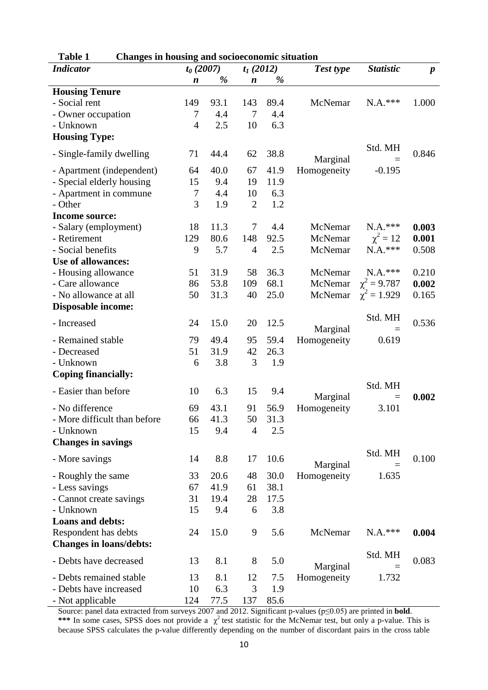| Table 1<br><b>Changes in housing and socioeconomic situation</b> |                  |                            |                  |                  |                  |                  |       |
|------------------------------------------------------------------|------------------|----------------------------|------------------|------------------|------------------|------------------|-------|
| <b>Indicator</b>                                                 |                  | $t_0(2007)$<br>$t_1(2012)$ |                  | <b>Test type</b> | <b>Statistic</b> | $\boldsymbol{p}$ |       |
|                                                                  | $\boldsymbol{n}$ | %                          | $\boldsymbol{n}$ | %                |                  |                  |       |
| <b>Housing Tenure</b>                                            |                  |                            |                  |                  |                  |                  |       |
| - Social rent                                                    | 149              | 93.1                       | 143              | 89.4             | McNemar          | $N.A.***$        | 1.000 |
| - Owner occupation                                               | 7                | 4.4                        | 7                | 4.4              |                  |                  |       |
| - Unknown                                                        | $\overline{4}$   | 2.5                        | 10               | 6.3              |                  |                  |       |
| <b>Housing Type:</b>                                             |                  |                            |                  |                  |                  |                  |       |
|                                                                  |                  |                            |                  |                  |                  | Std. MH          |       |
| - Single-family dwelling                                         | 71               | 44.4                       | 62               | 38.8             | Marginal         |                  | 0.846 |
| - Apartment (independent)                                        | 64               | 40.0                       | 67               | 41.9             | Homogeneity      | $-0.195$         |       |
| - Special elderly housing                                        | 15               | 9.4                        | 19               | 11.9             |                  |                  |       |
| - Apartment in commune                                           | $\tau$           | 4.4                        | 10               | 6.3              |                  |                  |       |
| - Other                                                          | 3                | 1.9                        | $\overline{2}$   | 1.2              |                  |                  |       |
| Income source:                                                   |                  |                            |                  |                  |                  |                  |       |
| - Salary (employment)                                            | 18               | 11.3                       | 7                | 4.4              | McNemar          | $N.A.***$        | 0.003 |
| - Retirement                                                     | 129              | 80.6                       | 148              | 92.5             | McNemar          | $\chi^2 = 12$    | 0.001 |
| - Social benefits                                                | 9                | 5.7                        | $\overline{4}$   | 2.5              | McNemar          | $N.A.***$        | 0.508 |
| Use of allowances:                                               |                  |                            |                  |                  |                  |                  |       |
| - Housing allowance                                              | 51               | 31.9                       | 58               | 36.3             | McNemar          | $N.A.***$        | 0.210 |
| - Care allowance                                                 | 86               | 53.8                       | 109              | 68.1             | McNemar          | $\chi^2 = 9.787$ | 0.002 |
| - No allowance at all                                            | 50               | 31.3                       | 40               | 25.0             | McNemar          | $\chi^2 = 1.929$ | 0.165 |
| Disposable income:                                               |                  |                            |                  |                  |                  |                  |       |
|                                                                  |                  |                            |                  |                  |                  | Std. MH          |       |
| - Increased                                                      | 24               | 15.0                       | 20               | 12.5             | Marginal         |                  | 0.536 |
| - Remained stable                                                | 79               | 49.4                       | 95               | 59.4             | Homogeneity      | 0.619            |       |
| - Decreased                                                      | 51               | 31.9                       | 42               | 26.3             |                  |                  |       |
| - Unknown                                                        | 6                | 3.8                        | 3                | 1.9              |                  |                  |       |
|                                                                  |                  |                            |                  |                  |                  |                  |       |
| <b>Coping financially:</b>                                       |                  |                            |                  |                  |                  |                  |       |
| - Easier than before                                             | 10               | 6.3                        | 15               | 9.4              |                  | Std. MH          |       |
|                                                                  |                  | 43.1                       |                  |                  | Marginal         | $\equiv$         | 0.002 |
| - No difference                                                  | 69               |                            | 91               | 56.9             | Homogeneity      | 3.101            |       |
| More difficult than before                                       | 66               | 41.3                       | 50               | 31.3             |                  |                  |       |
| - Unknown                                                        | 15               | 9.4                        | $\overline{4}$   | 2.5              |                  |                  |       |
| <b>Changes in savings</b>                                        |                  |                            |                  |                  |                  |                  |       |
| - More savings                                                   | 14               | 8.8                        | 17               | 10.6             |                  | Std. MH          | 0.100 |
|                                                                  |                  |                            |                  |                  | Marginal         |                  |       |
| - Roughly the same                                               | 33               | 20.6                       | 48               | 30.0             | Homogeneity      | 1.635            |       |
| - Less savings                                                   | 67               | 41.9                       | 61               | 38.1             |                  |                  |       |
| - Cannot create savings                                          | 31               | 19.4                       | 28               | 17.5             |                  |                  |       |
| - Unknown                                                        | 15               | 9.4                        | 6                | 3.8              |                  |                  |       |
| <b>Loans and debts:</b>                                          |                  |                            |                  |                  |                  |                  |       |
| Respondent has debts                                             | 24               | 15.0                       | 9                | 5.6              | McNemar          | $N.A.***$        | 0.004 |
| <b>Changes in loans/debts:</b>                                   |                  |                            |                  |                  |                  |                  |       |
| - Debts have decreased                                           | 13               | 8.1                        | 8                | 5.0              |                  | Std. MH          | 0.083 |
|                                                                  |                  |                            |                  |                  | Marginal         |                  |       |
| - Debts remained stable                                          | 13               | 8.1                        | 12               | 7.5              | Homogeneity      | 1.732            |       |
| - Debts have increased                                           | 10               | 6.3                        | 3                | 1.9              |                  |                  |       |
| - Not applicable                                                 | 124              | 77.5                       | 137              | 85.6             |                  |                  |       |

Source: panel data extracted from surveys 2007 and 2012. Significant p-values (p≤0.05) are printed in **bold**. \*\*\* In some cases, SPSS does not provide a  $\chi^2$  test statistic for the McNemar test, but only a p-value. This is because SPSS calculates the p-value differently depending on the number of discordant pairs in the cross table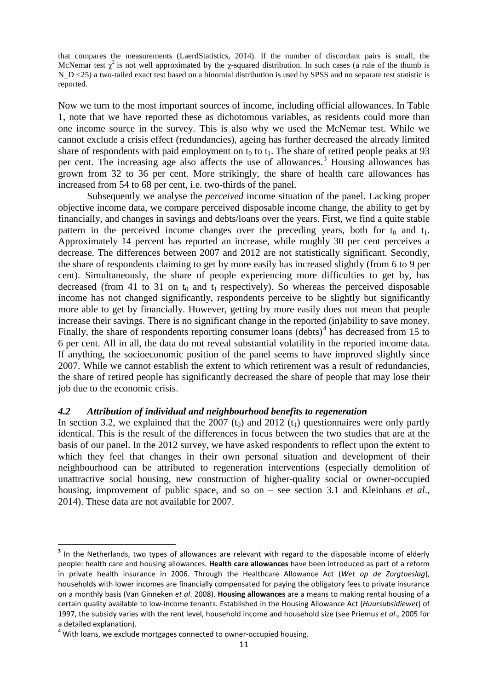that compares the measurements (LaerdStatistics, 2014). If the number of discordant pairs is small, the McNemar test  $\chi^2$  is not well approximated by the  $\chi$ -squared distribution. In such cases (a rule of the thumb is N\_D <25) a two-tailed exact test based on a binomial distribution is used by SPSS and no separate test statistic is reported.

Now we turn to the most important sources of income, including official allowances. In Table 1, note that we have reported these as dichotomous variables, as residents could more than one income source in the survey. This is also why we used the McNemar test. While we cannot exclude a crisis effect (redundancies), ageing has further decreased the already limited share of respondents with paid employment on  $t_0$  to  $t_1$ . The share of retired people peaks at 93 per cent. The increasing age also affects the use of allowances.<sup>[3](#page-9-0)</sup> Housing allowances has grown from 32 to 36 per cent. More strikingly, the share of health care allowances has increased from 54 to 68 per cent, i.e. two-thirds of the panel.

Subsequently we analyse the *perceived* income situation of the panel. Lacking proper objective income data, we compare perceived disposable income change, the ability to get by financially, and changes in savings and debts/loans over the years. First, we find a quite stable pattern in the perceived income changes over the preceding years, both for  $t_0$  and  $t_1$ . Approximately 14 percent has reported an increase, while roughly 30 per cent perceives a decrease. The differences between 2007 and 2012 are not statistically significant. Secondly, the share of respondents claiming to get by more easily has increased slightly (from 6 to 9 per cent). Simultaneously, the share of people experiencing more difficulties to get by, has decreased (from 41 to 31 on  $t_0$  and  $t_1$  respectively). So whereas the perceived disposable income has not changed significantly, respondents perceive to be slightly but significantly more able to get by financially. However, getting by more easily does not mean that people increase their savings. There is no significant change in the reported (in)ability to save money. Finally, the share of respondents reporting consumer loans  $(debts)<sup>4</sup>$  $(debts)<sup>4</sup>$  $(debts)<sup>4</sup>$  has decreased from 15 to 6 per cent. All in all, the data do not reveal substantial volatility in the reported income data. If anything, the socioeconomic position of the panel seems to have improved slightly since 2007. While we cannot establish the extent to which retirement was a result of redundancies, the share of retired people has significantly decreased the share of people that may lose their job due to the economic crisis.

### *4.2 Attribution of individual and neighbourhood benefits to regeneration*

In section 3.2, we explained that the 2007  $(t_0)$  and 2012  $(t_1)$  questionnaires were only partly identical. This is the result of the differences in focus between the two studies that are at the basis of our panel. In the 2012 survey, we have asked respondents to reflect upon the extent to which they feel that changes in their own personal situation and development of their neighbourhood can be attributed to regeneration interventions (especially demolition of unattractive social housing, new construction of higher-quality social or owner-occupied housing, improvement of public space, and so on – see section 3.1 and Kleinhans *et al*., 2014). These data are not available for 2007.

<sup>&</sup>lt;sup>3</sup> In the Netherlands, two types of allowances are relevant with regard to the disposable income of elderly people: health care and housing allowances. **Health care allowances** have been introduced as part of a reform in private health insurance in 2006. Through the Healthcare Allowance Act (*Wet op de Zorgtoeslag*), households with lower incomes are financially compensated for paying the obligatory fees to private insurance on a monthly basis (Van Ginneken *et al*. 2008). **Housing allowances** are a means to making rental housing of a certain quality available to low-income tenants. Established in the Housing Allowance Act (*Huursubsidiewet*) of 1997, the subsidy varies with the rent level, household income and household size (see Priemus *et al*., 2005 for a detailed explanation).<br><sup>4</sup> With loans, we exclude mortgages connected to owner-occupied housing.

<span id="page-11-0"></span>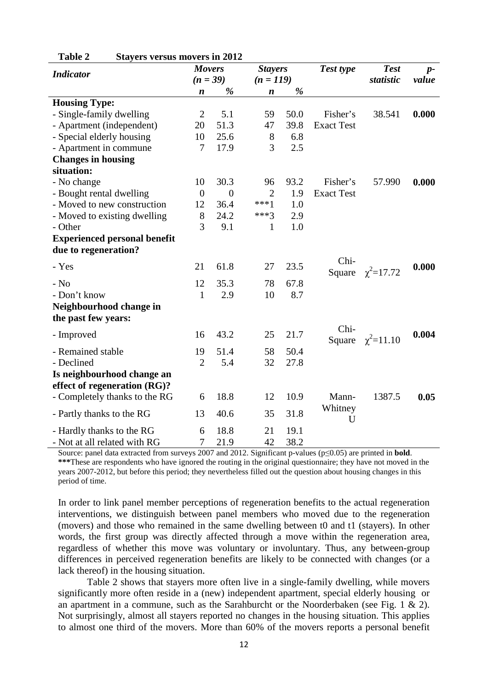| $_{\rm{outyds}}$ versus movers in 2012<br><b>Indicator</b> | <b>Movers</b>    |                  | <b>Stayers</b>   |             | Test type         | <b>Test</b>     | $p-$  |
|------------------------------------------------------------|------------------|------------------|------------------|-------------|-------------------|-----------------|-------|
|                                                            |                  | $(n = 39)$       |                  | $(n = 119)$ |                   | statistic       | value |
|                                                            | n                | %                | $\boldsymbol{n}$ | %           |                   |                 |       |
| <b>Housing Type:</b>                                       |                  |                  |                  |             |                   |                 |       |
| - Single-family dwelling                                   | $\overline{2}$   | 5.1              | 59               | 50.0        | Fisher's          | 38.541          | 0.000 |
| - Apartment (independent)                                  | 20               | 51.3             | 47               | 39.8        | <b>Exact Test</b> |                 |       |
| - Special elderly housing                                  | 10               | 25.6             | 8                | 6.8         |                   |                 |       |
| - Apartment in commune                                     | 7                | 17.9             | 3                | 2.5         |                   |                 |       |
| <b>Changes in housing</b>                                  |                  |                  |                  |             |                   |                 |       |
| situation:                                                 |                  |                  |                  |             |                   |                 |       |
| - No change                                                | 10               | 30.3             | 96               | 93.2        | Fisher's          | 57.990          | 0.000 |
| - Bought rental dwelling                                   | $\boldsymbol{0}$ | $\boldsymbol{0}$ | $\overline{2}$   | 1.9         | <b>Exact Test</b> |                 |       |
| - Moved to new construction                                | 12               | 36.4             | $***1$           | 1.0         |                   |                 |       |
| - Moved to existing dwelling                               | $8\,$            | 24.2             | $***3$           | 2.9         |                   |                 |       |
| - Other                                                    | 3                | 9.1              | $\mathbf{1}$     | 1.0         |                   |                 |       |
| <b>Experienced personal benefit</b>                        |                  |                  |                  |             |                   |                 |       |
| due to regeneration?                                       |                  |                  |                  |             |                   |                 |       |
| - Yes                                                      | 21               | 61.8             | 27               | 23.5        | Chi-<br>Square    | $\chi^2$ =17.72 | 0.000 |
| $-$ No                                                     | 12               | 35.3             | 78               | 67.8        |                   |                 |       |
| - Don't know                                               | $\mathbf{1}$     | 2.9              | 10               | 8.7         |                   |                 |       |
| Neighbourhood change in                                    |                  |                  |                  |             |                   |                 |       |
| the past few years:                                        |                  |                  |                  |             |                   |                 |       |
| - Improved                                                 | 16               | 43.2             | 25               | 21.7        | Chi-<br>Square    | $\chi^2$ =11.10 | 0.004 |
| - Remained stable                                          | 19               | 51.4             | 58               | 50.4        |                   |                 |       |
| - Declined                                                 | $\overline{2}$   | 5.4              | 32               | 27.8        |                   |                 |       |
| Is neighbourhood change an                                 |                  |                  |                  |             |                   |                 |       |
| effect of regeneration (RG)?                               |                  |                  |                  |             |                   |                 |       |
| - Completely thanks to the RG                              | 6                | 18.8             | 12               | 10.9        | Mann-             | 1387.5          | 0.05  |
| - Partly thanks to the RG                                  | 13               | 40.6             | 35               | 31.8        | Whitney<br>U      |                 |       |
| - Hardly thanks to the RG                                  | 6                | 18.8             | 21               | 19.1        |                   |                 |       |
| - Not at all related with RG                               | 7                | 21.9             | 42               | 38.2        |                   |                 |       |

**Table 2 Stayers versus movers in 2012**

Source: panel data extracted from surveys 2007 and 2012. Significant p-values (p≤0.05) are printed in **bold**. **\*\*\***These are respondents who have ignored the routing in the original questionnaire; they have not moved in the years 2007-2012, but before this period; they nevertheless filled out the question about housing changes in this period of time.

In order to link panel member perceptions of regeneration benefits to the actual regeneration interventions, we distinguish between panel members who moved due to the regeneration (movers) and those who remained in the same dwelling between t0 and t1 (stayers). In other words, the first group was directly affected through a move within the regeneration area, regardless of whether this move was voluntary or involuntary. Thus, any between-group differences in perceived regeneration benefits are likely to be connected with changes (or a lack thereof) in the housing situation.

Table 2 shows that stayers more often live in a single-family dwelling, while movers significantly more often reside in a (new) independent apartment, special elderly housing or an apartment in a commune, such as the Sarahburcht or the Noorderbaken (see Fig. 1 & 2). Not surprisingly, almost all stayers reported no changes in the housing situation. This applies to almost one third of the movers. More than 60% of the movers reports a personal benefit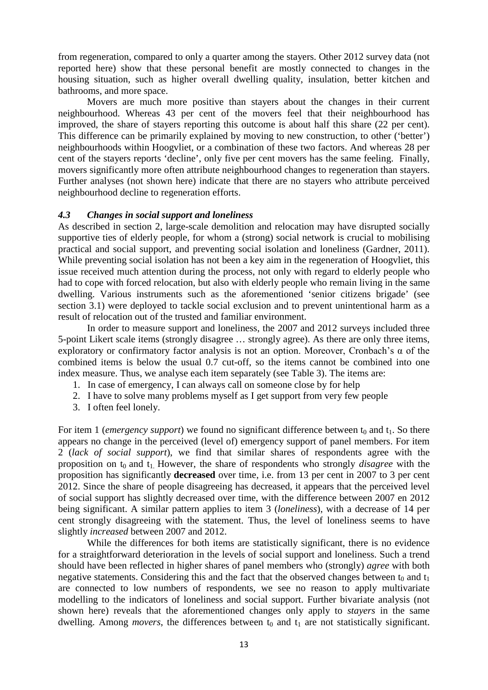from regeneration, compared to only a quarter among the stayers. Other 2012 survey data (not reported here) show that these personal benefit are mostly connected to changes in the housing situation, such as higher overall dwelling quality, insulation, better kitchen and bathrooms, and more space.

Movers are much more positive than stayers about the changes in their current neighbourhood. Whereas 43 per cent of the movers feel that their neighbourhood has improved, the share of stayers reporting this outcome is about half this share (22 per cent). This difference can be primarily explained by moving to new construction, to other ('better') neighbourhoods within Hoogvliet, or a combination of these two factors. And whereas 28 per cent of the stayers reports 'decline', only five per cent movers has the same feeling. Finally, movers significantly more often attribute neighbourhood changes to regeneration than stayers. Further analyses (not shown here) indicate that there are no stayers who attribute perceived neighbourhood decline to regeneration efforts.

#### *4.3 Changes in social support and loneliness*

As described in section 2, large-scale demolition and relocation may have disrupted socially supportive ties of elderly people, for whom a (strong) social network is crucial to mobilising practical and social support, and preventing social isolation and loneliness (Gardner, 2011). While preventing social isolation has not been a key aim in the regeneration of Hoogyliet, this issue received much attention during the process, not only with regard to elderly people who had to cope with forced relocation, but also with elderly people who remain living in the same dwelling. Various instruments such as the aforementioned 'senior citizens brigade' (see section 3.1) were deployed to tackle social exclusion and to prevent unintentional harm as a result of relocation out of the trusted and familiar environment.

In order to measure support and loneliness, the 2007 and 2012 surveys included three 5-point Likert scale items (strongly disagree … strongly agree). As there are only three items, exploratory or confirmatory factor analysis is not an option. Moreover, Cronbach's α of the combined items is below the usual 0.7 cut-off, so the items cannot be combined into one index measure. Thus, we analyse each item separately (see Table 3). The items are:

- 1. In case of emergency, I can always call on someone close by for help
- 2. I have to solve many problems myself as I get support from very few people
- 3. I often feel lonely.

For item 1 (*emergency support*) we found no significant difference between  $t_0$  and  $t_1$ . So there appears no change in the perceived (level of) emergency support of panel members. For item 2 (*lack of social support*), we find that similar shares of respondents agree with the proposition on t<sub>0</sub> and t<sub>1</sub>. However, the share of respondents who strongly *disagree* with the proposition has significantly **decreased** over time, i.e. from 13 per cent in 2007 to 3 per cent 2012. Since the share of people disagreeing has decreased, it appears that the perceived level of social support has slightly decreased over time, with the difference between 2007 en 2012 being significant. A similar pattern applies to item 3 (*loneliness*), with a decrease of 14 per cent strongly disagreeing with the statement. Thus, the level of loneliness seems to have slightly *increased* between 2007 and 2012.

While the differences for both items are statistically significant, there is no evidence for a straightforward deterioration in the levels of social support and loneliness. Such a trend should have been reflected in higher shares of panel members who (strongly) *agree* with both negative statements. Considering this and the fact that the observed changes between  $t_0$  and  $t_1$ are connected to low numbers of respondents, we see no reason to apply multivariate modelling to the indicators of loneliness and social support. Further bivariate analysis (not shown here) reveals that the aforementioned changes only apply to *stayers* in the same dwelling. Among *movers*, the differences between  $t_0$  and  $t_1$  are not statistically significant.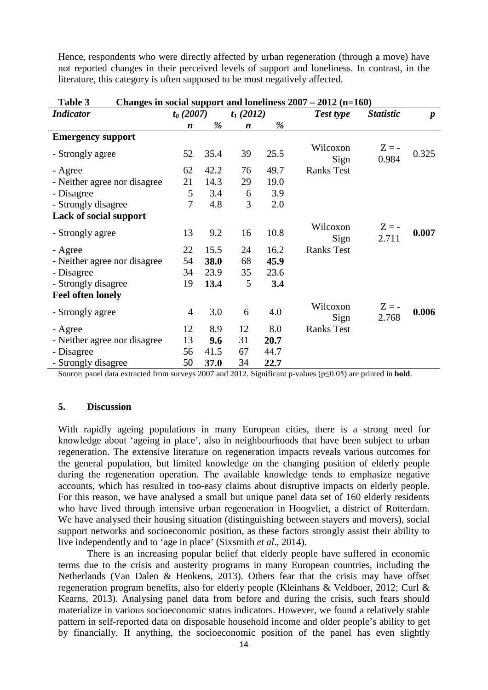Hence, respondents who were directly affected by urban regeneration (through a move) have not reported changes in their perceived levels of support and loneliness. In contrast, in the literature, this category is often supposed to be most negatively affected.

| L'adie 5<br>Changes in social support and ioneliness $2007 - 2012$ (n=160) |                            |      |                  |                  |                   |                  |       |
|----------------------------------------------------------------------------|----------------------------|------|------------------|------------------|-------------------|------------------|-------|
| <b>Indicator</b>                                                           | $t_0(2007)$<br>$t_1(2012)$ |      | Test type        | <b>Statistic</b> | $\boldsymbol{p}$  |                  |       |
|                                                                            | $\boldsymbol{n}$           | %    | $\boldsymbol{n}$ | %                |                   |                  |       |
| <b>Emergency support</b>                                                   |                            |      |                  |                  |                   |                  |       |
| - Strongly agree                                                           | 52                         | 35.4 | 39               | 25.5             | Wilcoxon<br>Sign  | $Z = -$<br>0.984 | 0.325 |
| - Agree                                                                    | 62                         | 42.2 | 76               | 49.7             | <b>Ranks Test</b> |                  |       |
| - Neither agree nor disagree                                               | 21                         | 14.3 | 29               | 19.0             |                   |                  |       |
| - Disagree                                                                 | 5                          | 3.4  | 6                | 3.9              |                   |                  |       |
| - Strongly disagree                                                        | 7                          | 4.8  | 3                | 2.0              |                   |                  |       |
| Lack of social support                                                     |                            |      |                  |                  |                   |                  |       |
| - Strongly agree                                                           | 13                         | 9.2  | 16               | 10.8             | Wilcoxon<br>Sign  | $Z = -$<br>2.711 | 0.007 |
| - Agree                                                                    | 22                         | 15.5 | 24               | 16.2             | <b>Ranks Test</b> |                  |       |
| - Neither agree nor disagree                                               | 54                         | 38.0 | 68               | 45.9             |                   |                  |       |
| - Disagree                                                                 | 34                         | 23.9 | 35               | 23.6             |                   |                  |       |
| - Strongly disagree                                                        | 19                         | 13.4 | 5                | 3.4              |                   |                  |       |
| <b>Feel often lonely</b>                                                   |                            |      |                  |                  |                   |                  |       |
| - Strongly agree                                                           | $\overline{4}$             | 3.0  | 6                | 4.0              | Wilcoxon<br>Sign  | $Z = -$<br>2.768 | 0.006 |
| - Agree                                                                    | 12                         | 8.9  | 12               | 8.0              | <b>Ranks Test</b> |                  |       |
| - Neither agree nor disagree                                               | 13                         | 9.6  | 31               | 20.7             |                   |                  |       |
| - Disagree                                                                 | 56                         | 41.5 | 67               | 44.7             |                   |                  |       |
| - Strongly disagree                                                        | 50                         | 37.0 | 34               | 22.7             |                   |                  |       |

| Table 3 |  |  | Changes in social support and loneliness $2007 - 2012$ (n=160) |
|---------|--|--|----------------------------------------------------------------|
|---------|--|--|----------------------------------------------------------------|

Source: panel data extracted from surveys 2007 and 2012. Significant p-values (p≤0.05) are printed in **bold**.

#### **5. Discussion**

With rapidly ageing populations in many European cities, there is a strong need for knowledge about 'ageing in place', also in neighbourhoods that have been subject to urban regeneration. The extensive literature on regeneration impacts reveals various outcomes for the general population, but limited knowledge on the changing position of elderly people during the regeneration operation. The available knowledge tends to emphasize negative accounts, which has resulted in too-easy claims about disruptive impacts on elderly people. For this reason, we have analysed a small but unique panel data set of 160 elderly residents who have lived through intensive urban regeneration in Hoogvliet, a district of Rotterdam. We have analysed their housing situation (distinguishing between stayers and movers), social support networks and socioeconomic position, as these factors strongly assist their ability to live independently and to 'age in place' (Sixsmith *et al*., 2014).

There is an increasing popular belief that elderly people have suffered in economic terms due to the crisis and austerity programs in many European countries, including the Netherlands (Van Dalen & Henkens, 2013). Others fear that the crisis may have offset regeneration program benefits, also for elderly people (Kleinhans & Veldboer, 2012; Curl & Kearns, 2013). Analysing panel data from before and during the crisis, such fears should materialize in various socioeconomic status indicators. However, we found a relatively stable pattern in self-reported data on disposable household income and older people's ability to get by financially. If anything, the socioeconomic position of the panel has even slightly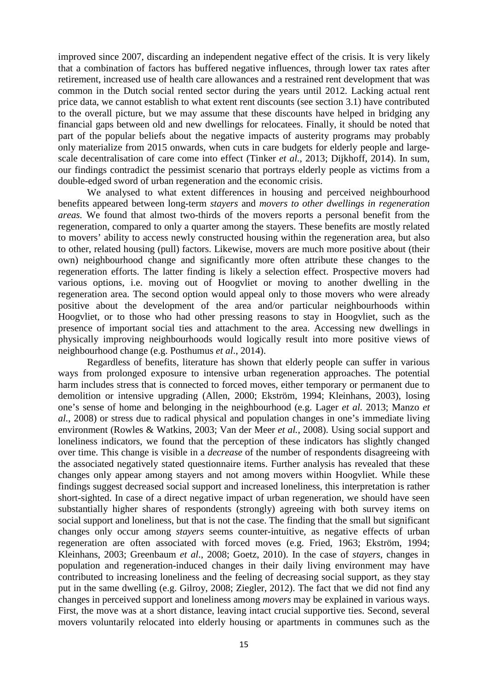improved since 2007, discarding an independent negative effect of the crisis. It is very likely that a combination of factors has buffered negative influences, through lower tax rates after retirement, increased use of health care allowances and a restrained rent development that was common in the Dutch social rented sector during the years until 2012. Lacking actual rent price data, we cannot establish to what extent rent discounts (see section 3.1) have contributed to the overall picture, but we may assume that these discounts have helped in bridging any financial gaps between old and new dwellings for relocatees. Finally, it should be noted that part of the popular beliefs about the negative impacts of austerity programs may probably only materialize from 2015 onwards, when cuts in care budgets for elderly people and largescale decentralisation of care come into effect (Tinker *et al.*, 2013; Dijkhoff, 2014). In sum, our findings contradict the pessimist scenario that portrays elderly people as victims from a double-edged sword of urban regeneration and the economic crisis.

We analysed to what extent differences in housing and perceived neighbourhood benefits appeared between long-term *stayers* and *movers to other dwellings in regeneration areas.* We found that almost two-thirds of the movers reports a personal benefit from the regeneration, compared to only a quarter among the stayers. These benefits are mostly related to movers' ability to access newly constructed housing within the regeneration area, but also to other, related housing (pull) factors. Likewise, movers are much more positive about (their own) neighbourhood change and significantly more often attribute these changes to the regeneration efforts. The latter finding is likely a selection effect. Prospective movers had various options, i.e. moving out of Hoogvliet or moving to another dwelling in the regeneration area. The second option would appeal only to those movers who were already positive about the development of the area and/or particular neighbourhoods within Hoogvliet, or to those who had other pressing reasons to stay in Hoogvliet, such as the presence of important social ties and attachment to the area. Accessing new dwellings in physically improving neighbourhoods would logically result into more positive views of neighbourhood change (e.g. Posthumus *et al*., 2014).

Regardless of benefits, literature has shown that elderly people can suffer in various ways from prolonged exposure to intensive urban regeneration approaches. The potential harm includes stress that is connected to forced moves, either temporary or permanent due to demolition or intensive upgrading (Allen, 2000; Ekström, 1994; Kleinhans, 2003), losing one's sense of home and belonging in the neighbourhood (e.g. Lager *et al.* 2013; Manzo *et al.*, 2008) or stress due to radical physical and population changes in one's immediate living environment (Rowles & Watkins, 2003; Van der Meer *et al.*, 2008). Using social support and loneliness indicators, we found that the perception of these indicators has slightly changed over time. This change is visible in a *decrease* of the number of respondents disagreeing with the associated negatively stated questionnaire items. Further analysis has revealed that these changes only appear among stayers and not among movers within Hoogvliet. While these findings suggest decreased social support and increased loneliness, this interpretation is rather short-sighted. In case of a direct negative impact of urban regeneration, we should have seen substantially higher shares of respondents (strongly) agreeing with both survey items on social support and loneliness, but that is not the case. The finding that the small but significant changes only occur among *stayers* seems counter-intuitive, as negative effects of urban regeneration are often associated with forced moves (e.g. Fried, 1963; Ekström, 1994; Kleinhans, 2003; Greenbaum *et al*., 2008; Goetz, 2010). In the case of *stayers*, changes in population and regeneration-induced changes in their daily living environment may have contributed to increasing loneliness and the feeling of decreasing social support, as they stay put in the same dwelling (e.g. Gilroy, 2008; Ziegler, 2012). The fact that we did not find any changes in perceived support and loneliness among *movers* may be explained in various ways. First, the move was at a short distance, leaving intact crucial supportive ties. Second, several movers voluntarily relocated into elderly housing or apartments in communes such as the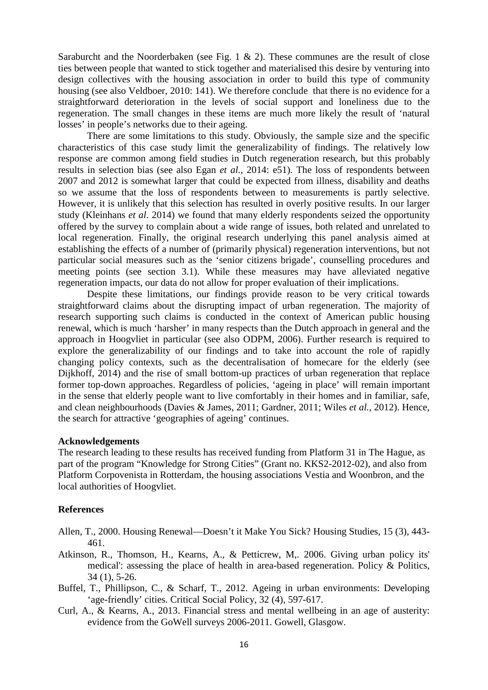Saraburcht and the Noorderbaken (see Fig. 1  $\&$  2). These communes are the result of close ties between people that wanted to stick together and materialised this desire by venturing into design collectives with the housing association in order to build this type of community housing (see also Veldboer, 2010: 141). We therefore conclude that there is no evidence for a straightforward deterioration in the levels of social support and loneliness due to the regeneration. The small changes in these items are much more likely the result of 'natural losses' in people's networks due to their ageing.

There are some limitations to this study. Obviously, the sample size and the specific characteristics of this case study limit the generalizability of findings. The relatively low response are common among field studies in Dutch regeneration research, but this probably results in selection bias (see also Egan *et al.*, 2014: e51). The loss of respondents between 2007 and 2012 is somewhat larger that could be expected from illness, disability and deaths so we assume that the loss of respondents between to measurements is partly selective. However, it is unlikely that this selection has resulted in overly positive results. In our larger study (Kleinhans *et al*. 2014) we found that many elderly respondents seized the opportunity offered by the survey to complain about a wide range of issues, both related and unrelated to local regeneration. Finally, the original research underlying this panel analysis aimed at establishing the effects of a number of (primarily physical) regeneration interventions, but not particular social measures such as the 'senior citizens brigade', counselling procedures and meeting points (see section 3.1). While these measures may have alleviated negative regeneration impacts, our data do not allow for proper evaluation of their implications.

Despite these limitations, our findings provide reason to be very critical towards straightforward claims about the disrupting impact of urban regeneration. The majority of research supporting such claims is conducted in the context of American public housing renewal, which is much 'harsher' in many respects than the Dutch approach in general and the approach in Hoogvliet in particular (see also ODPM, 2006). Further research is required to explore the generalizability of our findings and to take into account the role of rapidly changing policy contexts, such as the decentralisation of homecare for the elderly (see Dijkhoff, 2014) and the rise of small bottom-up practices of urban regeneration that replace former top-down approaches. Regardless of policies, 'ageing in place' will remain important in the sense that elderly people want to live comfortably in their homes and in familiar, safe, and clean neighbourhoods (Davies & James, 2011; Gardner, 2011; Wiles *et al.*, 2012). Hence, the search for attractive 'geographies of ageing' continues.

#### **Acknowledgements**

The research leading to these results has received funding from Platform 31 in The Hague, as part of the program "Knowledge for Strong Cities" (Grant no. KKS2-2012-02), and also from Platform Corpovenista in Rotterdam, the housing associations Vestia and Woonbron, and the local authorities of Hoogvliet.

#### **References**

- Allen, T., 2000. Housing Renewal—Doesn't it Make You Sick? Housing Studies, 15 (3), 443- 461.
- Atkinson, R., Thomson, H., Kearns, A., & Petticrew, M,. 2006. Giving urban policy its' medical': assessing the place of health in area-based regeneration. Policy & Politics, 34 (1), 5-26.
- Buffel, T., Phillipson, C., & Scharf, T., 2012. Ageing in urban environments: Developing 'age-friendly' cities. Critical Social Policy, 32 (4), 597-617.
- Curl, A., & Kearns, A., 2013. Financial stress and mental wellbeing in an age of austerity: evidence from the GoWell surveys 2006-2011. Gowell, Glasgow.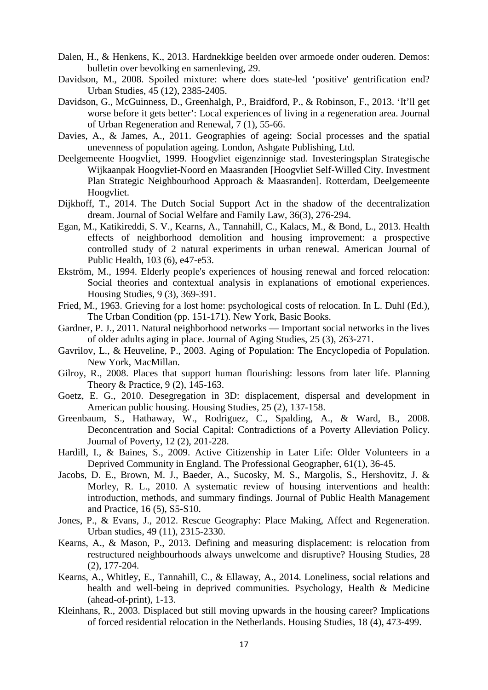- Dalen, H., & Henkens, K., 2013. Hardnekkige beelden over armoede onder ouderen. Demos: bulletin over bevolking en samenleving, 29.
- Davidson, M., 2008. Spoiled mixture: where does state-led 'positive' gentrification end? Urban Studies, 45 (12), 2385-2405.
- Davidson, G., McGuinness, D., Greenhalgh, P., Braidford, P., & Robinson, F., 2013. 'It'll get worse before it gets better': Local experiences of living in a regeneration area. Journal of Urban Regeneration and Renewal, 7 (1), 55-66.
- Davies, A., & James, A., 2011. Geographies of ageing: Social processes and the spatial unevenness of population ageing. London, Ashgate Publishing, Ltd.
- Deelgemeente Hoogvliet, 1999. Hoogvliet eigenzinnige stad. Investeringsplan Strategische Wijkaanpak Hoogvliet-Noord en Maasranden [Hoogvliet Self-Willed City. Investment Plan Strategic Neighbourhood Approach & Maasranden]. Rotterdam, Deelgemeente Hoogvliet.
- Dijkhoff, T., 2014. The Dutch Social Support Act in the shadow of the decentralization dream. Journal of Social Welfare and Family Law, 36(3), 276-294.
- Egan, M., Katikireddi, S. V., Kearns, A., Tannahill, C., Kalacs, M., & Bond, L., 2013. Health effects of neighborhood demolition and housing improvement: a prospective controlled study of 2 natural experiments in urban renewal. American Journal of Public Health, 103 (6), e47-e53.
- Ekström, M., 1994. Elderly people's experiences of housing renewal and forced relocation: Social theories and contextual analysis in explanations of emotional experiences. Housing Studies, 9 (3), 369-391.
- Fried, M., 1963. Grieving for a lost home: psychological costs of relocation. In L. Duhl (Ed.), The Urban Condition (pp. 151-171). New York, Basic Books.
- Gardner, P. J., 2011. Natural neighborhood networks Important social networks in the lives of older adults aging in place. Journal of Aging Studies, 25 (3), 263-271.
- Gavrilov, L., & Heuveline, P., 2003. Aging of Population: The Encyclopedia of Population. New York, MacMillan.
- Gilroy, R., 2008. Places that support human flourishing: lessons from later life. Planning Theory & Practice, 9 (2), 145-163.
- Goetz, E. G., 2010. Desegregation in 3D: displacement, dispersal and development in American public housing. Housing Studies, 25 (2), 137-158.
- Greenbaum, S., Hathaway, W., Rodriguez, C., Spalding, A., & Ward, B., 2008. Deconcentration and Social Capital: Contradictions of a Poverty Alleviation Policy. Journal of Poverty, 12 (2), 201-228.
- Hardill, I., & Baines, S., 2009. Active Citizenship in Later Life: Older Volunteers in a Deprived Community in England. The Professional Geographer, 61(1), 36-45.
- Jacobs, D. E., Brown, M. J., Baeder, A., Sucosky, M. S., Margolis, S., Hershovitz, J. & Morley, R. L., 2010. A systematic review of housing interventions and health: introduction, methods, and summary findings. Journal of Public Health Management and Practice, 16 (5), S5-S10.
- Jones, P., & Evans, J., 2012. Rescue Geography: Place Making, Affect and Regeneration. Urban studies, 49 (11), 2315-2330.
- Kearns, A., & Mason, P., 2013. Defining and measuring displacement: is relocation from restructured neighbourhoods always unwelcome and disruptive? Housing Studies, 28 (2), 177-204.
- Kearns, A., Whitley, E., Tannahill, C., & Ellaway, A., 2014. Loneliness, social relations and health and well-being in deprived communities. Psychology, Health & Medicine (ahead-of-print), 1-13.
- Kleinhans, R., 2003. Displaced but still moving upwards in the housing career? Implications of forced residential relocation in the Netherlands. Housing Studies, 18 (4), 473-499.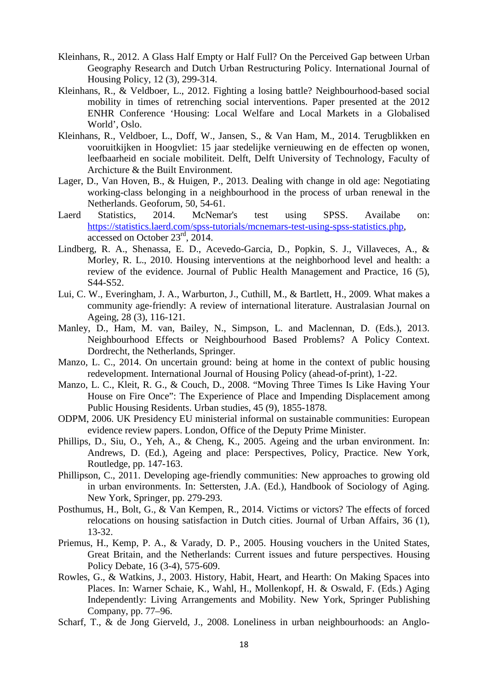- Kleinhans, R., 2012. A Glass Half Empty or Half Full? On the Perceived Gap between Urban Geography Research and Dutch Urban Restructuring Policy. International Journal of Housing Policy, 12 (3), 299-314.
- Kleinhans, R., & Veldboer, L., 2012. Fighting a losing battle? Neighbourhood-based social mobility in times of retrenching social interventions. Paper presented at the 2012 ENHR Conference 'Housing: Local Welfare and Local Markets in a Globalised World', Oslo.
- Kleinhans, R., Veldboer, L., Doff, W., Jansen, S., & Van Ham, M., 2014. Terugblikken en vooruitkijken in Hoogvliet: 15 jaar stedelijke vernieuwing en de effecten op wonen, leefbaarheid en sociale mobiliteit. Delft, Delft University of Technology, Faculty of Archicture & the Built Environment.
- Lager, D., Van Hoven, B., & Huigen, P., 2013. Dealing with change in old age: Negotiating working-class belonging in a neighbourhood in the process of urban renewal in the Netherlands. Geoforum, 50, 54-61.
- Laerd Statistics, 2014. McNemar's test using SPSS. Availabe on: [https://statistics.laerd.com/spss-tutorials/mcnemars-test-using-spss-statistics.php,](https://statistics.laerd.com/spss-tutorials/mcnemars-test-using-spss-statistics.php) accessed on October 23rd, 2014.
- Lindberg, R. A., Shenassa, E. D., Acevedo-Garcia, D., Popkin, S. J., Villaveces, A., & Morley, R. L., 2010. Housing interventions at the neighborhood level and health: a review of the evidence. Journal of Public Health Management and Practice, 16 (5), S44-S52.
- Lui, C. W., Everingham, J. A., Warburton, J., Cuthill, M., & Bartlett, H., 2009. What makes a community age‐friendly: A review of international literature. Australasian Journal on Ageing, 28 (3), 116-121.
- Manley, D., Ham, M. van, Bailey, N., Simpson, L. and Maclennan, D. (Eds.), 2013. Neighbourhood Effects or Neighbourhood Based Problems? A Policy Context. Dordrecht, the Netherlands, Springer.
- Manzo, L. C., 2014. On uncertain ground: being at home in the context of public housing redevelopment. International Journal of Housing Policy (ahead-of-print), 1-22.
- Manzo, L. C., Kleit, R. G., & Couch, D., 2008. "Moving Three Times Is Like Having Your House on Fire Once": The Experience of Place and Impending Displacement among Public Housing Residents. Urban studies, 45 (9), 1855-1878.
- ODPM, 2006. UK Presidency EU ministerial informal on sustainable communities: European evidence review papers. London, Office of the Deputy Prime Minister.
- Phillips, D., Siu, O., Yeh, A., & Cheng, K., 2005. Ageing and the urban environment. In: Andrews, D. (Ed.), Ageing and place: Perspectives, Policy, Practice. New York, Routledge, pp. 147-163.
- Phillipson, C., 2011. Developing age-friendly communities: New approaches to growing old in urban environments. In: Settersten, J.A. (Ed.), Handbook of Sociology of Aging. New York, Springer, pp. 279-293.
- Posthumus, H., Bolt, G., & Van Kempen, R., 2014. Victims or victors? The effects of forced relocations on housing satisfaction in Dutch cities. Journal of Urban Affairs, 36 (1), 13-32.
- Priemus, H., Kemp, P. A., & Varady, D. P., 2005. Housing vouchers in the United States, Great Britain, and the Netherlands: Current issues and future perspectives. Housing Policy Debate, 16 (3-4), 575-609.
- Rowles, G., & Watkins, J., 2003. History, Habit, Heart, and Hearth: On Making Spaces into Places. In: Warner Schaie, K., Wahl, H., Mollenkopf, H. & Oswald, F. (Eds.) Aging Independently: Living Arrangements and Mobility. New York, Springer Publishing Company, pp. 77–96.
- Scharf, T., & de Jong Gierveld, J., 2008. Loneliness in urban neighbourhoods: an Anglo-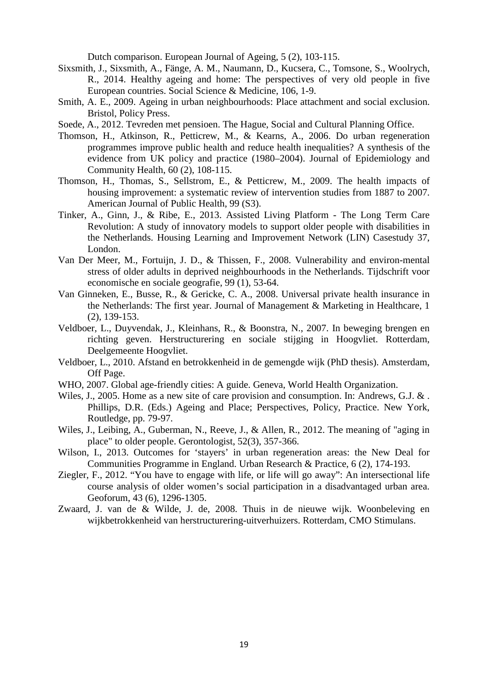Dutch comparison. European Journal of Ageing, 5 (2), 103-115.

- Sixsmith, J., Sixsmith, A., Fänge, A. M., Naumann, D., Kucsera, C., Tomsone, S., Woolrych, R., 2014. Healthy ageing and home: The perspectives of very old people in five European countries. Social Science & Medicine, 106, 1-9.
- Smith, A. E., 2009. Ageing in urban neighbourhoods: Place attachment and social exclusion. Bristol, Policy Press.
- Soede, A., 2012. Tevreden met pensioen. The Hague, Social and Cultural Planning Office.
- Thomson, H., Atkinson, R., Petticrew, M., & Kearns, A., 2006. Do urban regeneration programmes improve public health and reduce health inequalities? A synthesis of the evidence from UK policy and practice (1980–2004). Journal of Epidemiology and Community Health, 60 (2), 108-115.
- Thomson, H., Thomas, S., Sellstrom, E., & Petticrew, M., 2009. The health impacts of housing improvement: a systematic review of intervention studies from 1887 to 2007. American Journal of Public Health, 99 (S3).
- Tinker, A., Ginn, J., & Ribe, E., 2013. Assisted Living Platform The Long Term Care Revolution: A study of innovatory models to support older people with disabilities in the Netherlands. Housing Learning and Improvement Network (LIN) Casestudy 37, London.
- Van Der Meer, M., Fortuijn, J. D., & Thissen, F., 2008. Vulnerability and environ-mental stress of older adults in deprived neighbourhoods in the Netherlands. Tijdschrift voor economische en sociale geografie, 99 (1), 53-64.
- Van Ginneken, E., Busse, R., & Gericke, C. A., 2008. Universal private health insurance in the Netherlands: The first year. Journal of Management & Marketing in Healthcare, 1 (2), 139-153.
- Veldboer, L., Duyvendak, J., Kleinhans, R., & Boonstra, N., 2007. In beweging brengen en richting geven. Herstructurering en sociale stijging in Hoogvliet. Rotterdam, Deelgemeente Hoogvliet.
- Veldboer, L., 2010. Afstand en betrokkenheid in de gemengde wijk (PhD thesis). Amsterdam, Off Page.
- WHO, 2007. Global age-friendly cities: A guide. Geneva, World Health Organization.
- Wiles, J., 2005. Home as a new site of care provision and consumption. In: Andrews, G.J. & . Phillips, D.R. (Eds.) Ageing and Place; Perspectives, Policy, Practice. New York, Routledge, pp. 79-97.
- Wiles, J., Leibing, A., Guberman, N., Reeve, J., & Allen, R., 2012. The meaning of "aging in place" to older people. Gerontologist, 52(3), 357-366.
- Wilson, I., 2013. Outcomes for 'stayers' in urban regeneration areas: the New Deal for Communities Programme in England. Urban Research & Practice, 6 (2), 174-193.
- Ziegler, F., 2012. "You have to engage with life, or life will go away": An intersectional life course analysis of older women's social participation in a disadvantaged urban area. Geoforum, 43 (6), 1296-1305.
- Zwaard, J. van de & Wilde, J. de, 2008. Thuis in de nieuwe wijk. Woonbeleving en wijkbetrokkenheid van herstructurering-uitverhuizers. Rotterdam, CMO Stimulans.